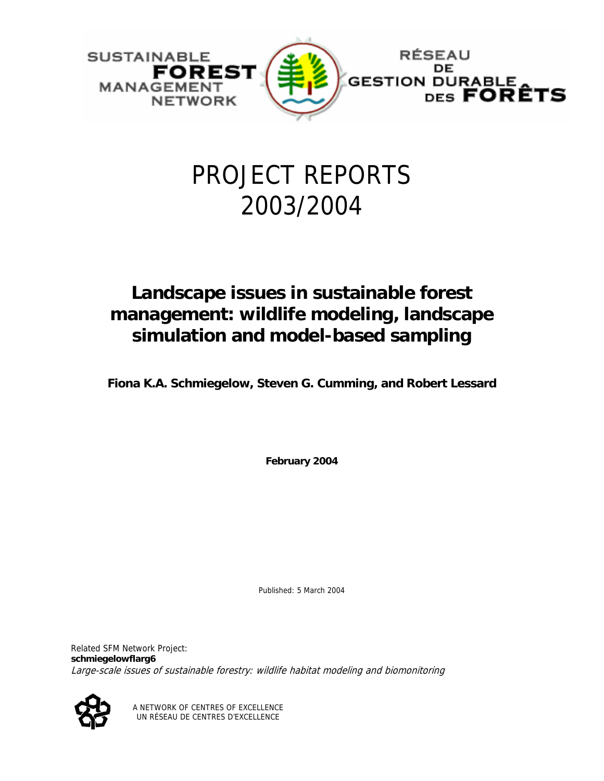

# PROJECT REPORTS 2003/2004

## **Landscape issues in sustainable forest management: wildlife modeling, landscape simulation and model-based sampling**

**Fiona K.A. Schmiegelow, Steven G. Cumming, and Robert Lessard** 

**February 2004** 

Published: 5 March 2004

Related SFM Network Project: **schmiegelowflarg6**  Large-scale issues of sustainable forestry: wildlife habitat modeling and biomonitoring



A NETWORK OF CENTRES OF EXCELLENCE UN RÉSEAU DE CENTRES D'EXCELLENCE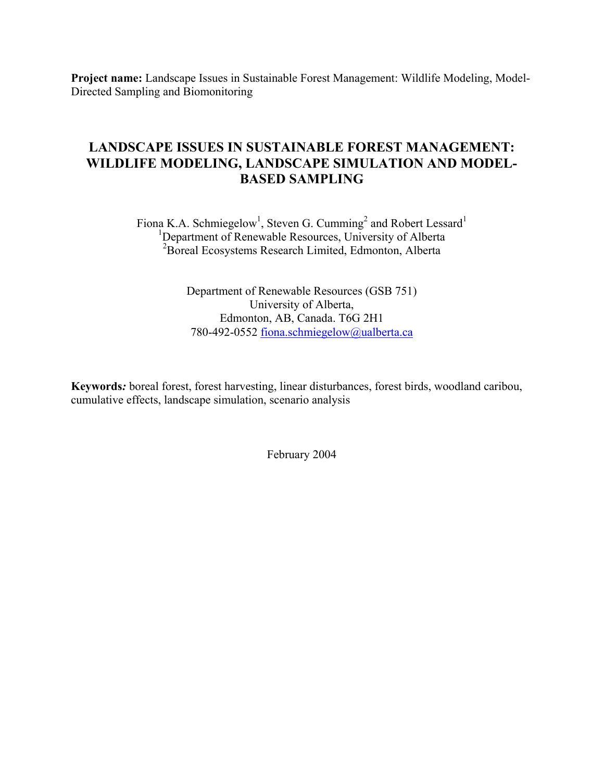**Project name:** Landscape Issues in Sustainable Forest Management: Wildlife Modeling, Model-Directed Sampling and Biomonitoring

### **LANDSCAPE ISSUES IN SUSTAINABLE FOREST MANAGEMENT: WILDLIFE MODELING, LANDSCAPE SIMULATION AND MODEL-BASED SAMPLING**

Fiona K.A. Schmiegelow<sup>1</sup>, Steven G. Cumming<sup>2</sup> and Robert Lessard<sup>1</sup> <sup>1</sup>Department of Renewable Resources, University of Alberta <sup>2</sup>Boreal Ecosystems Research Limited, Edmonton, Alberta

> Department of Renewable Resources (GSB 751) University of Alberta, Edmonton, AB, Canada. T6G 2H1 780-492-0552 [fiona.schmiegelow@ualberta.ca](mailto:ellen.macdonald@ualberta.ca)

**Keywords***:* boreal forest, forest harvesting, linear disturbances, forest birds, woodland caribou, cumulative effects, landscape simulation, scenario analysis

February 2004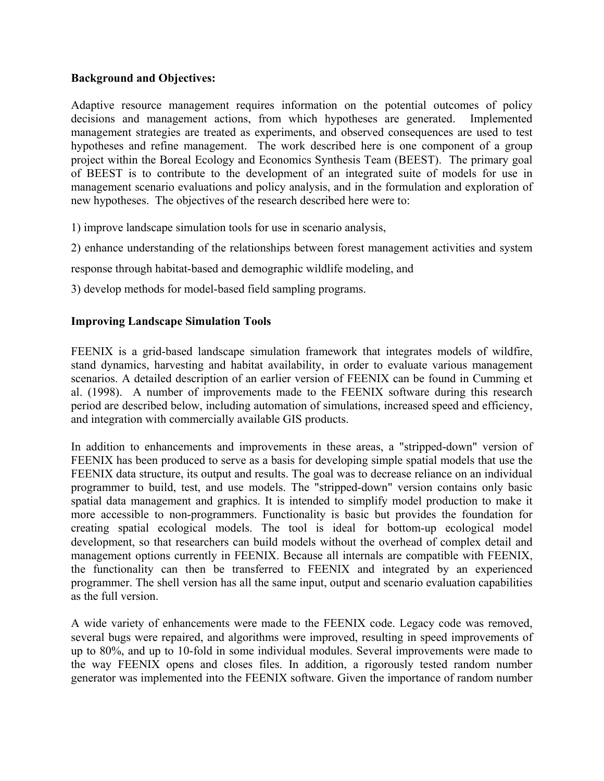#### **Background and Objectives:**

Adaptive resource management requires information on the potential outcomes of policy decisions and management actions, from which hypotheses are generated. Implemented management strategies are treated as experiments, and observed consequences are used to test hypotheses and refine management. The work described here is one component of a group project within the Boreal Ecology and Economics Synthesis Team (BEEST). The primary goal of BEEST is to contribute to the development of an integrated suite of models for use in management scenario evaluations and policy analysis, and in the formulation and exploration of new hypotheses. The objectives of the research described here were to:

1) improve landscape simulation tools for use in scenario analysis,

2) enhance understanding of the relationships between forest management activities and system

response through habitat-based and demographic wildlife modeling, and

3) develop methods for model-based field sampling programs.

#### **Improving Landscape Simulation Tools**

FEENIX is a grid-based landscape simulation framework that integrates models of wildfire, stand dynamics, harvesting and habitat availability, in order to evaluate various management scenarios. A detailed description of an earlier version of FEENIX can be found in Cumming et al. (1998). A number of improvements made to the FEENIX software during this research period are described below, including automation of simulations, increased speed and efficiency, and integration with commercially available GIS products.

In addition to enhancements and improvements in these areas, a "stripped-down" version of FEENIX has been produced to serve as a basis for developing simple spatial models that use the FEENIX data structure, its output and results. The goal was to decrease reliance on an individual programmer to build, test, and use models. The "stripped-down" version contains only basic spatial data management and graphics. It is intended to simplify model production to make it more accessible to non-programmers. Functionality is basic but provides the foundation for creating spatial ecological models. The tool is ideal for bottom-up ecological model development, so that researchers can build models without the overhead of complex detail and management options currently in FEENIX. Because all internals are compatible with FEENIX, the functionality can then be transferred to FEENIX and integrated by an experienced programmer. The shell version has all the same input, output and scenario evaluation capabilities as the full version.

A wide variety of enhancements were made to the FEENIX code. Legacy code was removed, several bugs were repaired, and algorithms were improved, resulting in speed improvements of up to 80%, and up to 10-fold in some individual modules. Several improvements were made to the way FEENIX opens and closes files. In addition, a rigorously tested random number generator was implemented into the FEENIX software. Given the importance of random number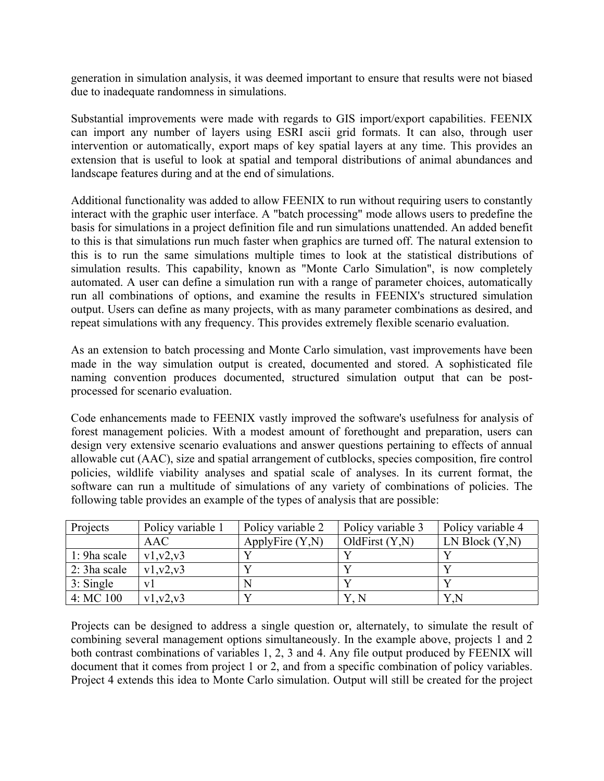generation in simulation analysis, it was deemed important to ensure that results were not biased due to inadequate randomness in simulations.

Substantial improvements were made with regards to GIS import/export capabilities. FEENIX can import any number of layers using ESRI ascii grid formats. It can also, through user intervention or automatically, export maps of key spatial layers at any time. This provides an extension that is useful to look at spatial and temporal distributions of animal abundances and landscape features during and at the end of simulations.

Additional functionality was added to allow FEENIX to run without requiring users to constantly interact with the graphic user interface. A "batch processing" mode allows users to predefine the basis for simulations in a project definition file and run simulations unattended. An added benefit to this is that simulations run much faster when graphics are turned off. The natural extension to this is to run the same simulations multiple times to look at the statistical distributions of simulation results. This capability, known as "Monte Carlo Simulation", is now completely automated. A user can define a simulation run with a range of parameter choices, automatically run all combinations of options, and examine the results in FEENIX's structured simulation output. Users can define as many projects, with as many parameter combinations as desired, and repeat simulations with any frequency. This provides extremely flexible scenario evaluation.

As an extension to batch processing and Monte Carlo simulation, vast improvements have been made in the way simulation output is created, documented and stored. A sophisticated file naming convention produces documented, structured simulation output that can be postprocessed for scenario evaluation.

Code enhancements made to FEENIX vastly improved the software's usefulness for analysis of forest management policies. With a modest amount of forethought and preparation, users can design very extensive scenario evaluations and answer questions pertaining to effects of annual allowable cut (AAC), size and spatial arrangement of cutblocks, species composition, fire control policies, wildlife viability analyses and spatial scale of analyses. In its current format, the software can run a multitude of simulations of any variety of combinations of policies. The following table provides an example of the types of analysis that are possible:

| Projects              | Policy variable 1 | Policy variable 2  | Policy variable 3 | Policy variable 4 |
|-----------------------|-------------------|--------------------|-------------------|-------------------|
|                       | <b>AAC</b>        | ApplyFire $(Y, N)$ | OldFirst $(Y, N)$ | LN Block(Y,N)     |
| 1: 9ha scale          | v1, v2, v3        |                    |                   |                   |
| $\vert$ 2: 3 ha scale | $v1_v2_v3$        |                    |                   |                   |
| 3: Single             | V <sub>1</sub>    |                    |                   |                   |
| 4:MC100               | v1, v2, v3        |                    |                   | Y,N               |

Projects can be designed to address a single question or, alternately, to simulate the result of combining several management options simultaneously. In the example above, projects 1 and 2 both contrast combinations of variables 1, 2, 3 and 4. Any file output produced by FEENIX will document that it comes from project 1 or 2, and from a specific combination of policy variables. Project 4 extends this idea to Monte Carlo simulation. Output will still be created for the project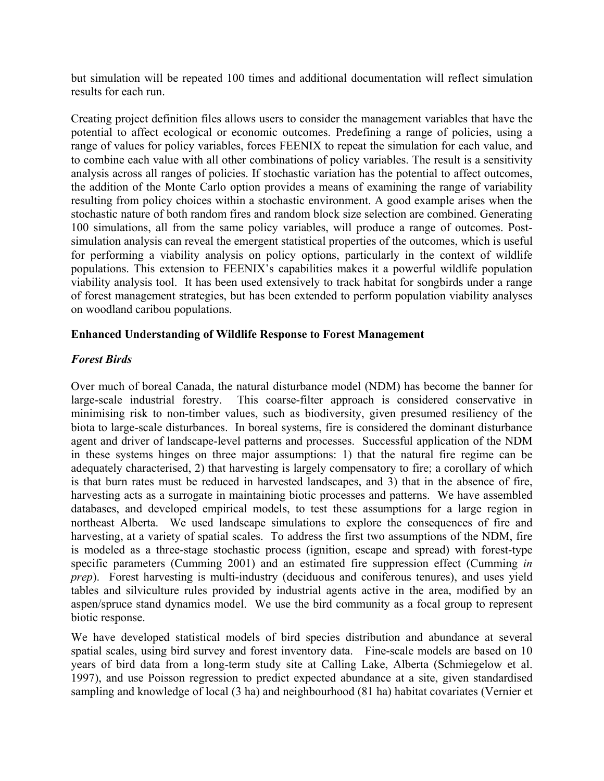but simulation will be repeated 100 times and additional documentation will reflect simulation results for each run.

Creating project definition files allows users to consider the management variables that have the potential to affect ecological or economic outcomes. Predefining a range of policies, using a range of values for policy variables, forces FEENIX to repeat the simulation for each value, and to combine each value with all other combinations of policy variables. The result is a sensitivity analysis across all ranges of policies. If stochastic variation has the potential to affect outcomes, the addition of the Monte Carlo option provides a means of examining the range of variability resulting from policy choices within a stochastic environment. A good example arises when the stochastic nature of both random fires and random block size selection are combined. Generating 100 simulations, all from the same policy variables, will produce a range of outcomes. Postsimulation analysis can reveal the emergent statistical properties of the outcomes, which is useful for performing a viability analysis on policy options, particularly in the context of wildlife populations. This extension to FEENIX's capabilities makes it a powerful wildlife population viability analysis tool. It has been used extensively to track habitat for songbirds under a range of forest management strategies, but has been extended to perform population viability analyses on woodland caribou populations.

#### **Enhanced Understanding of Wildlife Response to Forest Management**

#### *Forest Birds*

Over much of boreal Canada, the natural disturbance model (NDM) has become the banner for large-scale industrial forestry. This coarse-filter approach is considered conservative in minimising risk to non-timber values, such as biodiversity, given presumed resiliency of the biota to large-scale disturbances. In boreal systems, fire is considered the dominant disturbance agent and driver of landscape-level patterns and processes. Successful application of the NDM in these systems hinges on three major assumptions: 1) that the natural fire regime can be adequately characterised, 2) that harvesting is largely compensatory to fire; a corollary of which is that burn rates must be reduced in harvested landscapes, and 3) that in the absence of fire, harvesting acts as a surrogate in maintaining biotic processes and patterns. We have assembled databases, and developed empirical models, to test these assumptions for a large region in northeast Alberta. We used landscape simulations to explore the consequences of fire and harvesting, at a variety of spatial scales. To address the first two assumptions of the NDM, fire is modeled as a three-stage stochastic process (ignition, escape and spread) with forest-type specific parameters (Cumming 2001) and an estimated fire suppression effect (Cumming *in prep*). Forest harvesting is multi-industry (deciduous and coniferous tenures), and uses yield tables and silviculture rules provided by industrial agents active in the area, modified by an aspen/spruce stand dynamics model. We use the bird community as a focal group to represent biotic response.

We have developed statistical models of bird species distribution and abundance at several spatial scales, using bird survey and forest inventory data. Fine-scale models are based on 10 years of bird data from a long-term study site at Calling Lake, Alberta (Schmiegelow et al. 1997), and use Poisson regression to predict expected abundance at a site, given standardised sampling and knowledge of local (3 ha) and neighbourhood (81 ha) habitat covariates (Vernier et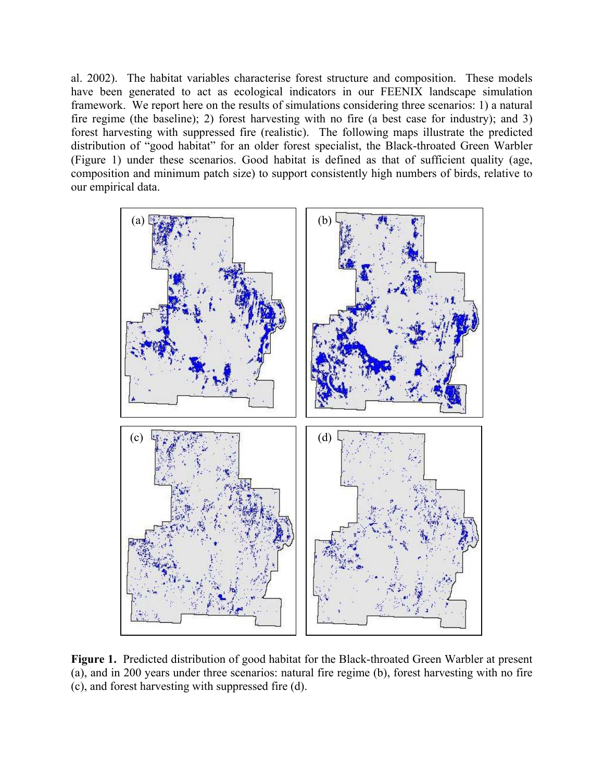al. 2002). The habitat variables characterise forest structure and composition. These models have been generated to act as ecological indicators in our FEENIX landscape simulation framework. We report here on the results of simulations considering three scenarios: 1) a natural fire regime (the baseline); 2) forest harvesting with no fire (a best case for industry); and 3) forest harvesting with suppressed fire (realistic). The following maps illustrate the predicted distribution of "good habitat" for an older forest specialist, the Black-throated Green Warbler (Figure 1) under these scenarios. Good habitat is defined as that of sufficient quality (age, composition and minimum patch size) to support consistently high numbers of birds, relative to our empirical data.



**Figure 1.** Predicted distribution of good habitat for the Black-throated Green Warbler at present (a), and in 200 years under three scenarios: natural fire regime (b), forest harvesting with no fire (c), and forest harvesting with suppressed fire (d).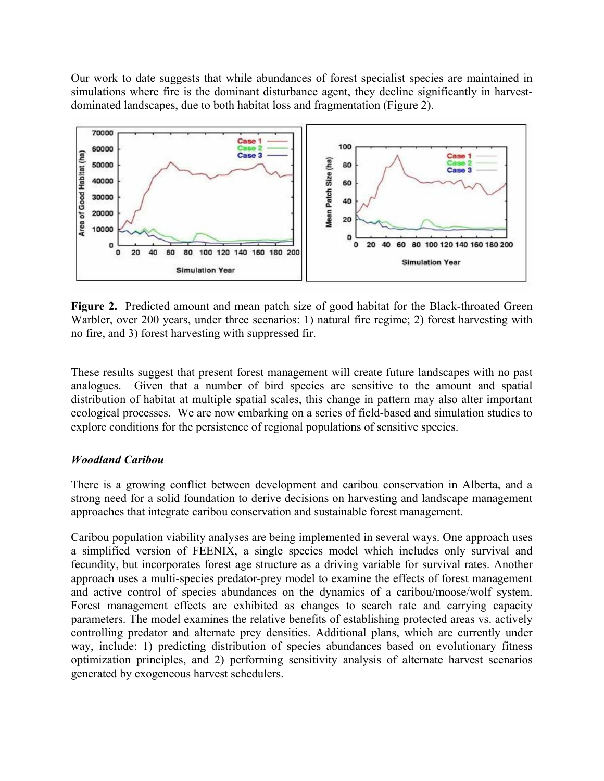Our work to date suggests that while abundances of forest specialist species are maintained in simulations where fire is the dominant disturbance agent, they decline significantly in harvestdominated landscapes, due to both habitat loss and fragmentation (Figure 2).



**Figure 2.** Predicted amount and mean patch size of good habitat for the Black-throated Green Warbler, over 200 years, under three scenarios: 1) natural fire regime; 2) forest harvesting with no fire, and 3) forest harvesting with suppressed fir.

These results suggest that present forest management will create future landscapes with no past analogues. Given that a number of bird species are sensitive to the amount and spatial distribution of habitat at multiple spatial scales, this change in pattern may also alter important ecological processes. We are now embarking on a series of field-based and simulation studies to explore conditions for the persistence of regional populations of sensitive species.

#### *Woodland Caribou*

There is a growing conflict between development and caribou conservation in Alberta, and a strong need for a solid foundation to derive decisions on harvesting and landscape management approaches that integrate caribou conservation and sustainable forest management.

Caribou population viability analyses are being implemented in several ways. One approach uses a simplified version of FEENIX, a single species model which includes only survival and fecundity, but incorporates forest age structure as a driving variable for survival rates. Another approach uses a multi-species predator-prey model to examine the effects of forest management and active control of species abundances on the dynamics of a caribou/moose/wolf system. Forest management effects are exhibited as changes to search rate and carrying capacity parameters. The model examines the relative benefits of establishing protected areas vs. actively controlling predator and alternate prey densities. Additional plans, which are currently under way, include: 1) predicting distribution of species abundances based on evolutionary fitness optimization principles, and 2) performing sensitivity analysis of alternate harvest scenarios generated by exogeneous harvest schedulers.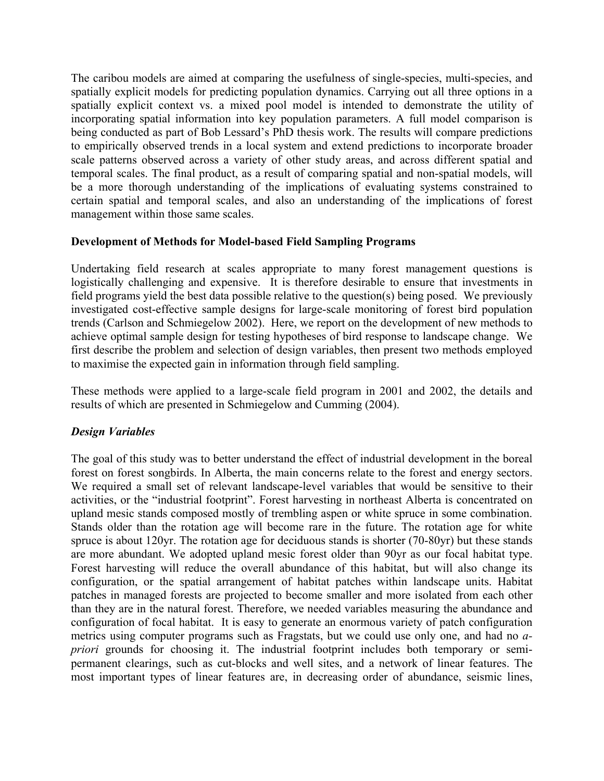The caribou models are aimed at comparing the usefulness of single-species, multi-species, and spatially explicit models for predicting population dynamics. Carrying out all three options in a spatially explicit context vs. a mixed pool model is intended to demonstrate the utility of incorporating spatial information into key population parameters. A full model comparison is being conducted as part of Bob Lessard's PhD thesis work. The results will compare predictions to empirically observed trends in a local system and extend predictions to incorporate broader scale patterns observed across a variety of other study areas, and across different spatial and temporal scales. The final product, as a result of comparing spatial and non-spatial models, will be a more thorough understanding of the implications of evaluating systems constrained to certain spatial and temporal scales, and also an understanding of the implications of forest management within those same scales.

#### **Development of Methods for Model-based Field Sampling Programs**

Undertaking field research at scales appropriate to many forest management questions is logistically challenging and expensive. It is therefore desirable to ensure that investments in field programs yield the best data possible relative to the question(s) being posed. We previously investigated cost-effective sample designs for large-scale monitoring of forest bird population trends (Carlson and Schmiegelow 2002). Here, we report on the development of new methods to achieve optimal sample design for testing hypotheses of bird response to landscape change. We first describe the problem and selection of design variables, then present two methods employed to maximise the expected gain in information through field sampling.

These methods were applied to a large-scale field program in 2001 and 2002, the details and results of which are presented in Schmiegelow and Cumming (2004).

#### *Design Variables*

The goal of this study was to better understand the effect of industrial development in the boreal forest on forest songbirds. In Alberta, the main concerns relate to the forest and energy sectors. We required a small set of relevant landscape-level variables that would be sensitive to their activities, or the "industrial footprint". Forest harvesting in northeast Alberta is concentrated on upland mesic stands composed mostly of trembling aspen or white spruce in some combination. Stands older than the rotation age will become rare in the future. The rotation age for white spruce is about 120yr. The rotation age for deciduous stands is shorter (70-80yr) but these stands are more abundant. We adopted upland mesic forest older than 90yr as our focal habitat type. Forest harvesting will reduce the overall abundance of this habitat, but will also change its configuration, or the spatial arrangement of habitat patches within landscape units. Habitat patches in managed forests are projected to become smaller and more isolated from each other than they are in the natural forest. Therefore, we needed variables measuring the abundance and configuration of focal habitat. It is easy to generate an enormous variety of patch configuration metrics using computer programs such as Fragstats, but we could use only one, and had no *apriori* grounds for choosing it. The industrial footprint includes both temporary or semipermanent clearings, such as cut-blocks and well sites, and a network of linear features. The most important types of linear features are, in decreasing order of abundance, seismic lines,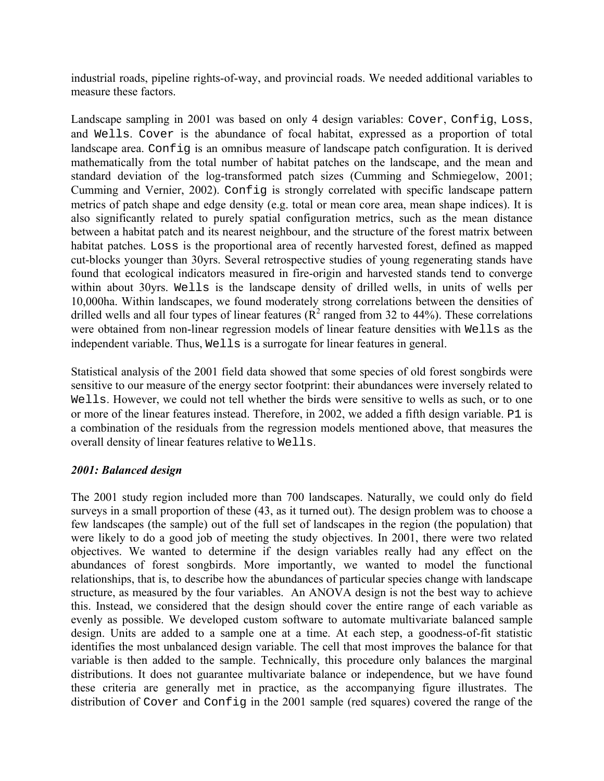industrial roads, pipeline rights-of-way, and provincial roads. We needed additional variables to measure these factors.

Landscape sampling in 2001 was based on only 4 design variables: Cover, Config, Loss, and Wells. Cover is the abundance of focal habitat, expressed as a proportion of total landscape area. Config is an omnibus measure of landscape patch configuration. It is derived mathematically from the total number of habitat patches on the landscape, and the mean and standard deviation of the log-transformed patch sizes (Cumming and Schmiegelow, 2001; Cumming and Vernier, 2002). Config is strongly correlated with specific landscape pattern metrics of patch shape and edge density (e.g. total or mean core area, mean shape indices). It is also significantly related to purely spatial configuration metrics, such as the mean distance between a habitat patch and its nearest neighbour, and the structure of the forest matrix between habitat patches. Loss is the proportional area of recently harvested forest, defined as mapped cut-blocks younger than 30yrs. Several retrospective studies of young regenerating stands have found that ecological indicators measured in fire-origin and harvested stands tend to converge within about 30yrs. Wells is the landscape density of drilled wells, in units of wells per 10,000ha. Within landscapes, we found moderately strong correlations between the densities of drilled wells and all four types of linear features ( $\mathbb{R}^2$  ranged from 32 to 44%). These correlations were obtained from non-linear regression models of linear feature densities with Wells as the independent variable. Thus, Wells is a surrogate for linear features in general.

Statistical analysis of the 2001 field data showed that some species of old forest songbirds were sensitive to our measure of the energy sector footprint: their abundances were inversely related to Wells. However, we could not tell whether the birds were sensitive to wells as such, or to one or more of the linear features instead. Therefore, in 2002, we added a fifth design variable. P1 is a combination of the residuals from the regression models mentioned above, that measures the overall density of linear features relative to Wells.

#### *2001: Balanced design*

The 2001 study region included more than 700 landscapes. Naturally, we could only do field surveys in a small proportion of these (43, as it turned out). The design problem was to choose a few landscapes (the sample) out of the full set of landscapes in the region (the population) that were likely to do a good job of meeting the study objectives. In 2001, there were two related objectives. We wanted to determine if the design variables really had any effect on the abundances of forest songbirds. More importantly, we wanted to model the functional relationships, that is, to describe how the abundances of particular species change with landscape structure, as measured by the four variables. An ANOVA design is not the best way to achieve this. Instead, we considered that the design should cover the entire range of each variable as evenly as possible. We developed custom software to automate multivariate balanced sample design. Units are added to a sample one at a time. At each step, a goodness-of-fit statistic identifies the most unbalanced design variable. The cell that most improves the balance for that variable is then added to the sample. Technically, this procedure only balances the marginal distributions. It does not guarantee multivariate balance or independence, but we have found these criteria are generally met in practice, as the accompanying figure illustrates. The distribution of Cover and Config in the 2001 sample (red squares) covered the range of the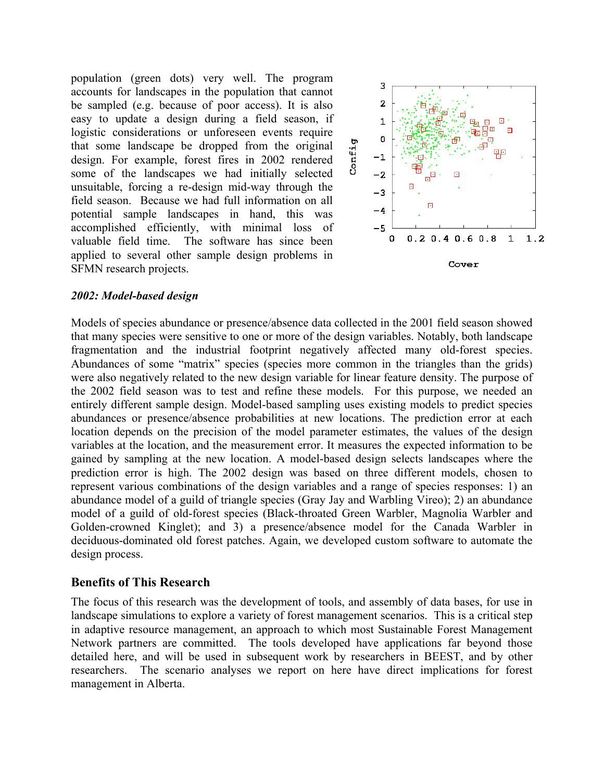population (green dots) very well. The program accounts for landscapes in the population that cannot be sampled (e.g. because of poor access). It is also easy to update a design during a field season, if logistic considerations or unforeseen events require that some landscape be dropped from the original design. For example, forest fires in 2002 rendered some of the landscapes we had initially selected unsuitable, forcing a re-design mid-way through the field season. Because we had full information on all potential sample landscapes in hand, this was accomplished efficiently, with minimal loss of valuable field time. The software has since been applied to several other sample design problems in SFMN research projects.



#### *2002: Model-based design*

Models of species abundance or presence/absence data collected in the 2001 field season showed that many species were sensitive to one or more of the design variables. Notably, both landscape fragmentation and the industrial footprint negatively affected many old-forest species. Abundances of some "matrix" species (species more common in the triangles than the grids) were also negatively related to the new design variable for linear feature density. The purpose of the 2002 field season was to test and refine these models. For this purpose, we needed an entirely different sample design. Model-based sampling uses existing models to predict species abundances or presence/absence probabilities at new locations. The prediction error at each location depends on the precision of the model parameter estimates, the values of the design variables at the location, and the measurement error. It measures the expected information to be gained by sampling at the new location. A model-based design selects landscapes where the prediction error is high. The 2002 design was based on three different models, chosen to represent various combinations of the design variables and a range of species responses: 1) an abundance model of a guild of triangle species (Gray Jay and Warbling Vireo); 2) an abundance model of a guild of old-forest species (Black-throated Green Warbler, Magnolia Warbler and Golden-crowned Kinglet); and 3) a presence/absence model for the Canada Warbler in deciduous-dominated old forest patches. Again, we developed custom software to automate the design process.

#### **Benefits of This Research**

The focus of this research was the development of tools, and assembly of data bases, for use in landscape simulations to explore a variety of forest management scenarios. This is a critical step in adaptive resource management, an approach to which most Sustainable Forest Management Network partners are committed. The tools developed have applications far beyond those detailed here, and will be used in subsequent work by researchers in BEEST, and by other researchers. The scenario analyses we report on here have direct implications for forest management in Alberta.